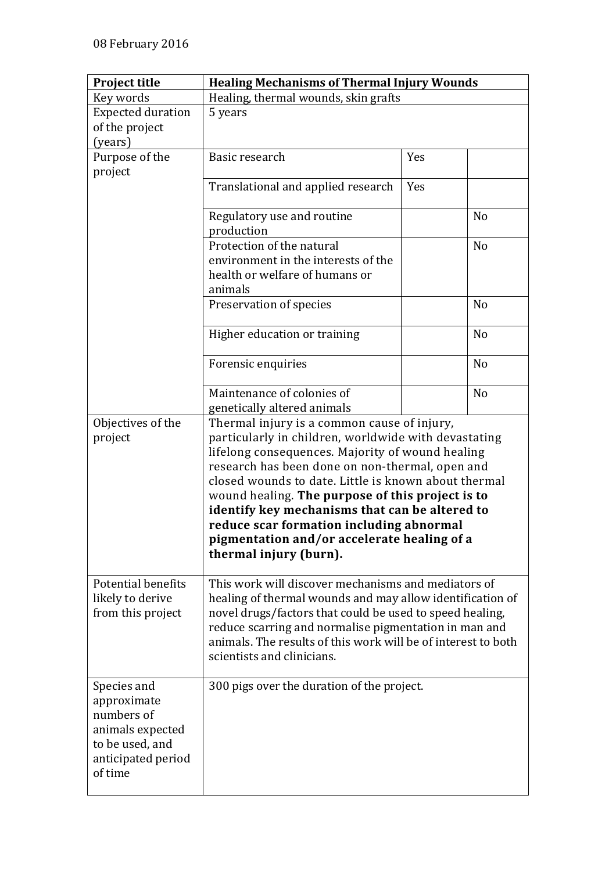| <b>Project title</b>     | <b>Healing Mechanisms of Thermal Injury Wounds</b>                    |     |                |
|--------------------------|-----------------------------------------------------------------------|-----|----------------|
| Key words                | Healing, thermal wounds, skin grafts                                  |     |                |
| <b>Expected duration</b> | 5 years                                                               |     |                |
| of the project           |                                                                       |     |                |
| (years)                  |                                                                       |     |                |
| Purpose of the           | Basic research                                                        | Yes |                |
| project                  |                                                                       |     |                |
|                          | Translational and applied research                                    | Yes |                |
|                          | Regulatory use and routine                                            |     | N <sub>o</sub> |
|                          | production<br>Protection of the natural                               |     | N <sub>o</sub> |
|                          |                                                                       |     |                |
|                          | environment in the interests of the<br>health or welfare of humans or |     |                |
|                          | animals                                                               |     |                |
|                          |                                                                       |     | N <sub>o</sub> |
|                          | Preservation of species                                               |     |                |
|                          | Higher education or training                                          |     | N <sub>o</sub> |
|                          | Forensic enquiries                                                    |     | N <sub>o</sub> |
|                          | Maintenance of colonies of                                            |     | N <sub>o</sub> |
|                          | genetically altered animals                                           |     |                |
| Objectives of the        | Thermal injury is a common cause of injury,                           |     |                |
| project                  | particularly in children, worldwide with devastating                  |     |                |
|                          | lifelong consequences. Majority of wound healing                      |     |                |
|                          | research has been done on non-thermal, open and                       |     |                |
|                          | closed wounds to date. Little is known about thermal                  |     |                |
|                          | wound healing. The purpose of this project is to                      |     |                |
|                          | identify key mechanisms that can be altered to                        |     |                |
|                          | reduce scar formation including abnormal                              |     |                |
|                          | pigmentation and/or accelerate healing of a                           |     |                |
|                          | thermal injury (burn).                                                |     |                |
| Potential benefits       | This work will discover mechanisms and mediators of                   |     |                |
| likely to derive         | healing of thermal wounds and may allow identification of             |     |                |
| from this project        | novel drugs/factors that could be used to speed healing,              |     |                |
|                          | reduce scarring and normalise pigmentation in man and                 |     |                |
|                          | animals. The results of this work will be of interest to both         |     |                |
|                          | scientists and clinicians.                                            |     |                |
|                          |                                                                       |     |                |
| Species and              | 300 pigs over the duration of the project.                            |     |                |
| approximate              |                                                                       |     |                |
| numbers of               |                                                                       |     |                |
| animals expected         |                                                                       |     |                |
| to be used, and          |                                                                       |     |                |
| anticipated period       |                                                                       |     |                |
| of time                  |                                                                       |     |                |
|                          |                                                                       |     |                |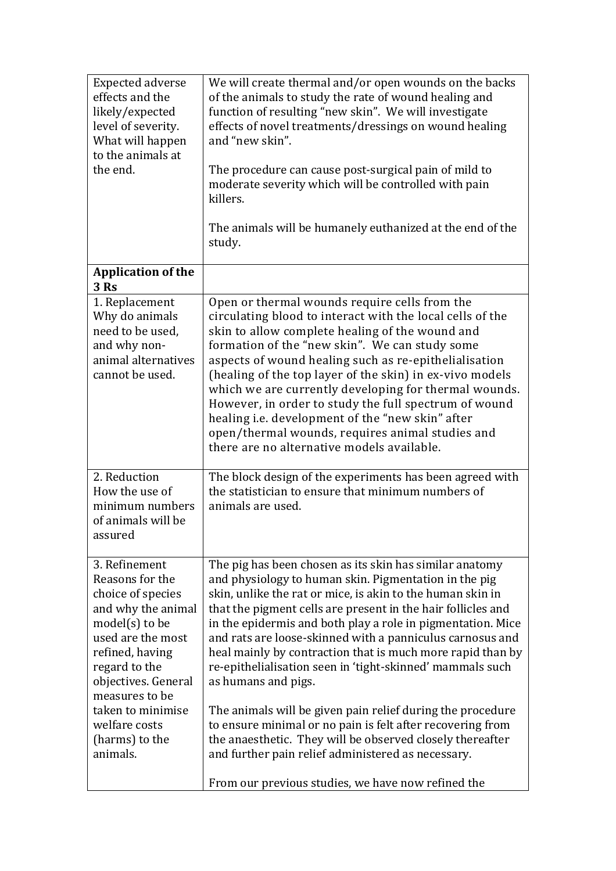| <b>Expected adverse</b><br>effects and the<br>likely/expected<br>level of severity.<br>What will happen<br>to the animals at<br>the end.                                                                                                                              | We will create thermal and/or open wounds on the backs<br>of the animals to study the rate of wound healing and<br>function of resulting "new skin". We will investigate<br>effects of novel treatments/dressings on wound healing<br>and "new skin".<br>The procedure can cause post-surgical pain of mild to<br>moderate severity which will be controlled with pain<br>killers.<br>The animals will be humanely euthanized at the end of the<br>study.                                                                                                                                                                                                                                                                                                                   |
|-----------------------------------------------------------------------------------------------------------------------------------------------------------------------------------------------------------------------------------------------------------------------|-----------------------------------------------------------------------------------------------------------------------------------------------------------------------------------------------------------------------------------------------------------------------------------------------------------------------------------------------------------------------------------------------------------------------------------------------------------------------------------------------------------------------------------------------------------------------------------------------------------------------------------------------------------------------------------------------------------------------------------------------------------------------------|
| <b>Application of the</b><br>3 Rs                                                                                                                                                                                                                                     |                                                                                                                                                                                                                                                                                                                                                                                                                                                                                                                                                                                                                                                                                                                                                                             |
| 1. Replacement<br>Why do animals<br>need to be used,<br>and why non-<br>animal alternatives<br>cannot be used.                                                                                                                                                        | Open or thermal wounds require cells from the<br>circulating blood to interact with the local cells of the<br>skin to allow complete healing of the wound and<br>formation of the "new skin". We can study some<br>aspects of wound healing such as re-epithelialisation<br>(healing of the top layer of the skin) in ex-vivo models<br>which we are currently developing for thermal wounds.<br>However, in order to study the full spectrum of wound<br>healing i.e. development of the "new skin" after<br>open/thermal wounds, requires animal studies and<br>there are no alternative models available.                                                                                                                                                                |
| 2. Reduction<br>How the use of<br>minimum numbers<br>of animals will be<br>assured                                                                                                                                                                                    | The block design of the experiments has been agreed with<br>the statistician to ensure that minimum numbers of<br>animals are used.                                                                                                                                                                                                                                                                                                                                                                                                                                                                                                                                                                                                                                         |
| 3. Refinement<br>Reasons for the<br>choice of species<br>and why the animal<br>$model(s)$ to be<br>used are the most<br>refined, having<br>regard to the<br>objectives. General<br>measures to be<br>taken to minimise<br>welfare costs<br>(harms) to the<br>animals. | The pig has been chosen as its skin has similar anatomy<br>and physiology to human skin. Pigmentation in the pig<br>skin, unlike the rat or mice, is akin to the human skin in<br>that the pigment cells are present in the hair follicles and<br>in the epidermis and both play a role in pigmentation. Mice<br>and rats are loose-skinned with a panniculus carnosus and<br>heal mainly by contraction that is much more rapid than by<br>re-epithelialisation seen in 'tight-skinned' mammals such<br>as humans and pigs.<br>The animals will be given pain relief during the procedure<br>to ensure minimal or no pain is felt after recovering from<br>the anaesthetic. They will be observed closely thereafter<br>and further pain relief administered as necessary. |
|                                                                                                                                                                                                                                                                       | From our previous studies, we have now refined the                                                                                                                                                                                                                                                                                                                                                                                                                                                                                                                                                                                                                                                                                                                          |